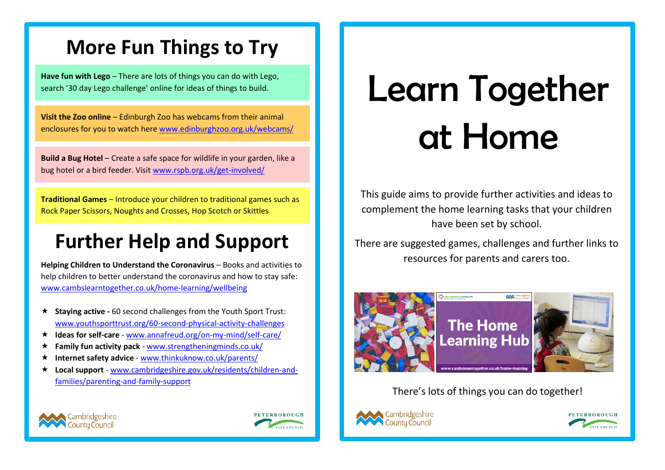## **More Fun Things to Try**

**Have fun with Lego** – There are lots of things you can do with Lego, search '30 day Lego challenge' online for ideas of things to build.

**Visit the Zoo online** – Edinburgh Zoo has webcams from their animal enclosures for you to watch her[e www.edinburghzoo.org.uk/webcams/](http://www.edinburghzoo.org.uk/webcams/)

**Build a Bug Hotel** – Create a safe space for wildlife in your garden, like a bug hotel or a bird feeder. Visit [www.rspb.org.uk/get-involved/](http://www.rspb.org.uk/get-involved/)

**Traditional Games** – Introduce your children to traditional games such as Rock Paper Scissors, Noughts and Crosses, Hop Scotch or Skittles

## **Further Help and Support**

**Helping Children to Understand the Coronavirus** – Books and activities to help children to better understand the coronavirus and how to stay safe: [www.cambslearntogether.co.uk/home-learning/wellbeing](http://www.cambslearntogether.co.uk/home-learning/wellbeing)

- **Staying active -** 60 second challenges from the Youth Sport Trust: [www.youthsporttrust.org/60-second-physical-activity-challenges](http://www.youthsporttrust.org/60-second-physical-activity-challenges)
- **Ideas for self-care** [www.annafreud.org/on-my-mind/self-care/](http://www.annafreud.org/on-my-mind/self-care/)
- **Family fun activity pack** [www.strengtheningminds.co.uk/](http://www.strengtheningminds.co.uk/)
- **Internet safety advice**  [www.thinkuknow.co.uk/parents/](http://www.thinkuknow.co.uk/parents/)
- **Local support**  [www.cambridgeshire.gov.uk/residents/children-and](http://www.cambridgeshire.gov.uk/residents/children-and-families/parenting-and-family-support)[families/parenting-and-family-support](http://www.cambridgeshire.gov.uk/residents/children-and-families/parenting-and-family-support)

# Learn Together at Home

This guide aims to provide further activities and ideas to complement the home learning tasks that your children have been set by school.

There are suggested games, challenges and further links to resources for parents and carers too.



#### There's lots of things you can do together!







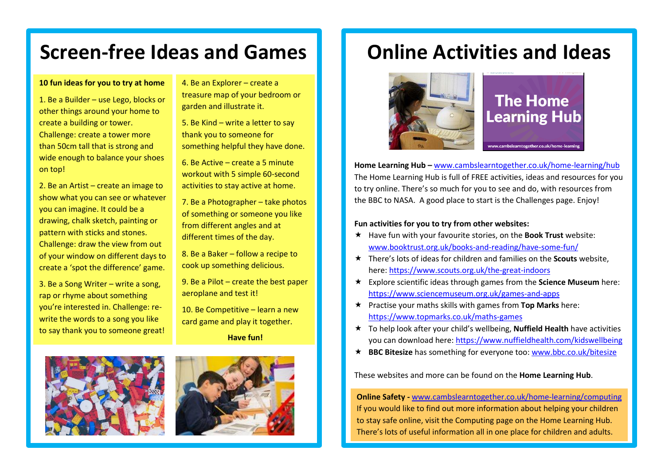## **Screen-free Ideas and Games**

#### **10 fun ideas for you to try at home**

1. Be a Builder – use Lego, blocks or other things around your home to create a building or tower. Challenge: create a tower more than 50cm tall that is strong and wide enough to balance your shoes on top!

2. Be an Artist – create an image to show what you can see or whatever you can imagine. It could be a drawing, chalk sketch, painting or pattern with sticks and stones. Challenge: draw the view from out of your window on different days to create a 'spot the difference' game.

3. Be a Song Writer – write a song, rap or rhyme about something you're interested in. Challenge: rewrite the words to a song you like to say thank you to someone great! 4. Be an Explorer – create a treasure map of your bedroom or garden and illustrate it.

5. Be Kind – write a letter to say thank you to someone for something helpful they have done.

6. Be Active – create a 5 minute workout with 5 simple 60-second activities to stay active at home.

7. Be a Photographer – take photos of something or someone you like from different angles and at different times of the day.

8. Be a Baker – follow a recipe to cook up something delicious.

9. Be a Pilot – create the best paper aeroplane and test it!

10. Be Competitive – learn a new card game and play it together.

**Have fun!**





## **Online Activities and Ideas**



### **The Home Learning Hub**

**Home Learning Hub –** [www.cambslearntogether.co.uk/home-learning/hub](http://www.cambslearntogether.co.uk/home-learning/hub) The Home Learning Hub is full of FREE activities, ideas and resources for you to try online. There's so much for you to see and do, with resources from the BBC to NASA. A good place to start is the Challenges page. Enjoy!

#### **Fun activities for you to try from other websites:**

- Have fun with your favourite stories, on the **Book Trust** website: [www.booktrust.org.uk/books-and-reading/have-some-fun/](http://www.booktrust.org.uk/books-and-reading/have-some-fun/)
- There's lots of ideas for children and families on the **Scouts** website, here[: https://www.scouts.org.uk/the-great-indoors](https://www.scouts.org.uk/the-great-indoors)
- Explore scientific ideas through games from the **Science Museum** here: <https://www.sciencemuseum.org.uk/games-and-apps>
- Practise your maths skills with games from **Top Marks** here: <https://www.topmarks.co.uk/maths-games>
- To help look after your child's wellbeing, **Nuffield Health** have activities you can download here:<https://www.nuffieldhealth.com/kidswellbeing>
- **BBC Bitesize** has something for everyone too: [www.bbc.co.uk/bitesize](http://www.bbc.co.uk/bitesize)

These websites and more can be found on the **Home Learning Hub**.

**Online Safety -** [www.cambslearntogether.co.uk/home-learning/computing](http://www.cambslearntogether.co.uk/home-learning/computing) If you would like to find out more information about helping your children to stay safe online, visit the Computing page on the Home Learning Hub. There's lots of useful information all in one place for children and adults.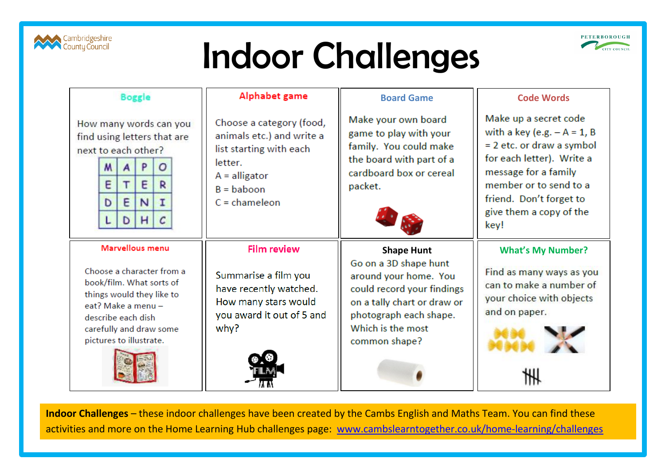

## Indoor Challenges



| <b>Boggle</b>                                                                |                                                                                                                                                                              |        |              |                  |  | Alphabet game                                                                                                                                     | <b>Board Game</b>                                                                                                                                                               | <b>Code Words</b>                                                                                                                                                                                                                  |
|------------------------------------------------------------------------------|------------------------------------------------------------------------------------------------------------------------------------------------------------------------------|--------|--------------|------------------|--|---------------------------------------------------------------------------------------------------------------------------------------------------|---------------------------------------------------------------------------------------------------------------------------------------------------------------------------------|------------------------------------------------------------------------------------------------------------------------------------------------------------------------------------------------------------------------------------|
| How many words can you<br>find using letters that are<br>next to each other? | M<br>E<br>D                                                                                                                                                                  | E<br>D | E<br>N<br>H. | o<br>R<br>I<br>C |  | Choose a category (food,<br>animals etc.) and write a<br>list starting with each<br>letter.<br>$A =$ alligator<br>$B =$ baboon<br>$C =$ chameleon | Make your own board<br>game to play with your<br>family. You could make<br>the board with part of a<br>cardboard box or cereal<br>packet.                                       | Make up a secret code<br>with a key (e.g. $-A = 1$ , B<br>$= 2$ etc. or draw a symbol<br>for each letter). Write a<br>message for a family<br>member or to send to a<br>friend. Don't forget to<br>give them a copy of the<br>key! |
|                                                                              | Marvellous menu<br>Choose a character from a<br>book/film. What sorts of<br>things would they like to<br>eat? Make a menu -<br>describe each dish<br>carefully and draw some |        |              |                  |  | <b>Film review</b><br>Summarise a film you<br>have recently watched.<br>How many stars would<br>you award it out of 5 and<br>why?                 | <b>Shape Hunt</b><br>Go on a 3D shape hunt<br>around your home. You<br>could record your findings<br>on a tally chart or draw or<br>photograph each shape.<br>Which is the most | <b>What's My Number?</b><br>Find as many ways as you<br>can to make a number of<br>your choice with objects<br>and on paper.                                                                                                       |
| pictures to illustrate.                                                      |                                                                                                                                                                              |        |              |                  |  |                                                                                                                                                   | common shape?                                                                                                                                                                   |                                                                                                                                                                                                                                    |

**Indoor Challenges** – these indoor challenges have been created by the Cambs English and Maths Team. You can find these activities and more on the Home Learning Hub challenges page: [www.cambslearntogether.co.uk/home-learning/challenges](http://www.cambslearntogether.co.uk/home-learning/challenges)